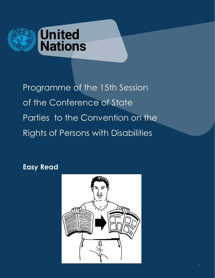

Programme of the 15th Session of the Conference of State Parties to the Convention on the Rights of Persons with Disabilities

**Easy Read**

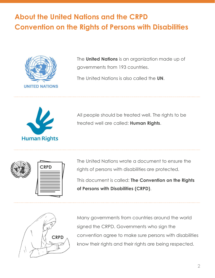## **About the United Nations and the CRPD Convention on the Rights of Persons with Disabilities**



The **United Nations** is an organization made up of governments from 193 countries.

The United Nations is also called the **UN**.



All people should be treated well. The rights to be treated well are called: **Human Rights**.



The United Nations wrote a document to ensure the rights of persons with disabilities are protected.

This document is called: **The Convention on the Rights of Persons with Disabilities (CRPD)**.



Many governments from countries around the world signed the CRPD. Governments who sign the convention agree to make sure persons with disabilities know their rights and their rights are being respected.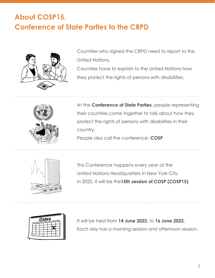# **About COSP15, Conference of State Parties to the CRPD**



Countries who signed the CRPD need to report to the United Nations.

Countries have to explain to the United Nations how they protect the rights of persons with disabilities.



At the **Conference of State Parties**, people representing their countries come together to talk about how they protect the rights of persons with disabilities in their country.

People also call the conference: **COSP**



This Conference happens every year at the United Nations Headquarters in New York City. In 2022, it will be the**15th session of COSP (COSP15)**.



It will be held from **14 June 2022,** to **16 June 2022.** Each day has a morning session and afternoon session.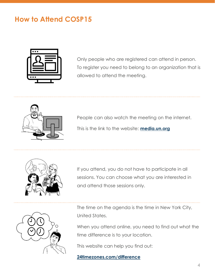### **How to Attend COSP15**



Only people who are registered can attend in person. To register you need to belong to an organization that is allowed to attend the meeting.



People can also watch the meeting on the internet. This is the link to the website: **[media.un.org](https://media.un.org/)**



If you attend, you do not have to participate in all sessions. You can choose what you are interested in and attend those sessions only.



The time on the agenda is the time in New York City, United States.

When you attend online, you need to find out what the time difference is to your location.

This website can help you find out:

#### **[24timezones.com/difference](https://24timezones.com/difference)**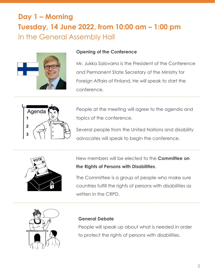## **Day 1 – Morning Tuesday, 14 June 2022, from 10:00 am – 1:00 pm** In the General Assembly Hall



#### **Opening of the Conference**

Mr. Jukka Salovarra is the President of the Conference and Permanent State Secretary of the Ministry for Foreign Affairs of Finland. He will speak to start the conference.



People at the meeting will agree to the agenda and topics of the conference.

Several people from the United Nations and disability advocates will speak to begin the conference.



New members will be elected to the **Committee on the Rights of Persons with Disabilities**.

The Committee is a group of people who make sure countries fulfill the rights of persons with disabilities as written in the CRPD.



#### **General Debate**

People will speak up about what is needed in order to protect the rights of persons with disabilities.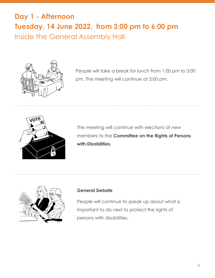### **Day 1 - Afternoon Tuesday, 14 June 2022, from 3:00 pm to 6:00 pm** Inside the General Assembly Hall



People will take a break for lunch from 1:00 pm to 3:00 pm. The meeting will continue at 3:00 pm.



The meeting will continue with elections of new members to the **Committee on the Rights of Persons with Disabilities.**



#### **General Debate**

People will continue to speak up about what is important to do next to protect the rights of persons with disabilities.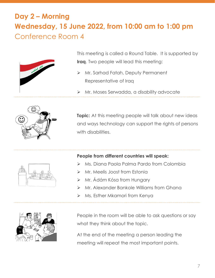# **Day 2 – Morning Wednesday, 15 June 2022, from 10:00 am to 1:00 pm** Conference Room 4



This meeting is called a Round Table. It is supported by **Iraq**. Two people will lead this meeting:

- ➢ Mr. Sarhad Fatah, Deputy Permanent Representative of Iraq
- ➢ Mr. Moses Serwadda, a disability advocate



**Topic:** At this meeting people will talk about new ideas and ways technology can support the rights of persons with disabilities.



#### **People from different countries will speak:**

- ➢ Ms. Diana Paola Palma Pardo from Colombia
- ➢ Mr. Meelis Joost from Estonia
- ➢ Mr. Ádám Kósa from Hungary
- ➢ Mr. Alexander Bankole Williams from Ghana
- ➢ Ms. Esther Mkamori from Kenya



People in the room will be able to ask questions or say what they think about the topic.

At the end of the meeting a person leading the meeting will repeat the most important points.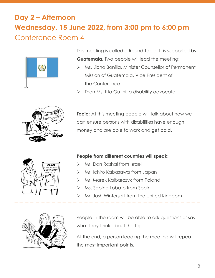## **Day 2 – Afternoon Wednesday, 15 June 2022, from 3:00 pm to 6:00 pm** Conference Room 4



This meeting is called a Round Table. It is supported by **Guatemala**. Two people will lead the meeting:

- ➢ Ms. Libna Bonilla, Minister Counsellor of Permanent Mission of Guatemala, Vice President of the Conference
- ➢ Then Ms. Itto Outini, a disability advocate



**Topic:** At this meeting people will talk about how we can ensure persons with disabilities have enough money and are able to work and get paid**.**



#### **People from different countries will speak:**

- ➢ Mr. Dan Rashal from Israel
- ➢ Mr. Ichiro Kabasawa from Japan
- ➢ Mr. Marek Kalbarczyk from Poland
- ➢ Ms. Sabina Lobato from Spain
- ➢ Mr. Josh Wintersgill from the United Kingdom



People in the room will be able to ask questions or say what they think about the topic.

At the end, a person leading the meeting will repeat the most important points.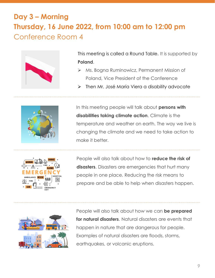## **Day 3 – Morning Thursday, 16 June 2022, from 10:00 am to 12:00 pm** Conference Room 4



This meeting is called a Round Table. It is supported by **Poland**.

- ➢ Ms. Bogna Ruminowicz, Permanent Mission of Poland, Vice President of the Conference
- ➢ Then Mr. José María Viera a disability advocate



In this meeting people will talk about **persons with disabilities taking climate action**. Climate is the temperature and weather on earth. The way we live is changing the climate and we need to take action to make it better.



People will also talk about how to **reduce the risk of**  disasters. Disasters are emergencies that hurt many people in one place. Reducing the risk means to prepare and be able to help when disasters happen.



People will also talk about how we can **be prepared for natural disasters**. Natural disasters are events that happen in nature that are dangerous for people. Examples of natural disasters are floods, storms, earthquakes, or volcanic eruptions.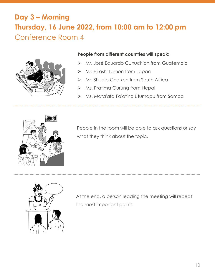# **Day 3 – Morning Thursday, 16 June 2022, from 10:00 am to 12:00 pm** Conference Room 4



#### **People from different countries will speak:**

- ➢ Mr. José Eduardo Curruchich from Guatemala
- ➢ Mr. Hiroshi Tamon from Japan
- ➢ Mr. Shuaib Chalken from South Africa
- ➢ Ms. Pratima Gurung from Nepal
- ➢ Ms. Mata'afa Fa'atino Utumapu from Samoa



People in the room will be able to ask questions or say what they think about the topic.



At the end, a person leading the meeting will repeat the most important points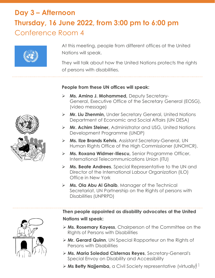# **Day 3 – Afternoon Thursday, 16 June 2022, from 3:00 pm to 6:00 pm** Conference Room 4



At this meeting, people from different offices at the United Nations will speak.

They will talk about how the United Nations protects the rights of persons with disabilities.

#### **People from these UN offices will speak:**

- ➢ **Ms. Amina J. Mohammed,** Deputy Secretary-General, Executive Office of the Secretary General (EOSG), (video message)
- ➢ **Mr. Liu Zhenmin,** Under Secretary General, United Nations Department of Economic and Social Affairs (UN DESA)
- ➢ **Mr. Achim Steiner,** Administrator and USG, United Nations Development Programme (UNDP)
- ➢ **Ms. Ilze Brands Kehris**, Assistant Secretary-General, UN Human Rights Office of the High Commissioner (UNOHCR).
- ➢ **Ms. Roxana Widmer-Iliescu,** Senior Programme Officer, International Telecommunications Union (ITU)
- ➢ **Ms. Beate Andrees**, Special Representative to the UN and Director of the International Labour Organization (ILO) Office in New York
- ➢ **Ms. Ola Abu Al Ghaib**, Manager of the Technical Secretariat, UN Partnership on the Rights of persons with Disabilities (UNPRPD)



**Then people appointed as disability advocates at the United Nations will speak:**

- ➢ **Ms. Rosemary Kayess**, Chairperson of the Committee on the RIghts of Persons with Disabilities
- ➢ **Mr. Gerard Quinn**, UN Special Rapporteur on the Rights of Persons with Disabilities
- ➢ **Ms. Maria Soledad Cisternas Reyes**, Secretary-General's Special Envoy on Disability and Accessibility
- > Ms Betty Najjemba, a Civil Society representative (virtually)<sup>1</sup>

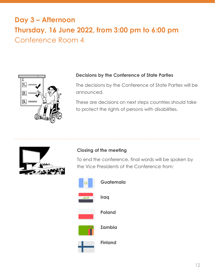## **Day 3 – Afternoon Thursday, 16 June 2022, from 3:00 pm to 6:00 pm** Conference Room 4



#### **Decisions by the Conference of State Parties**

The decisions by the Conference of State Parties will be announced.

These are decisions on next steps countries should take to protect the rights of persons with disabilities.



#### **Closing of the meeting**

To end the conference, final words will be spoken by the Vice Presidents of the Conference from:



**Guatemala**